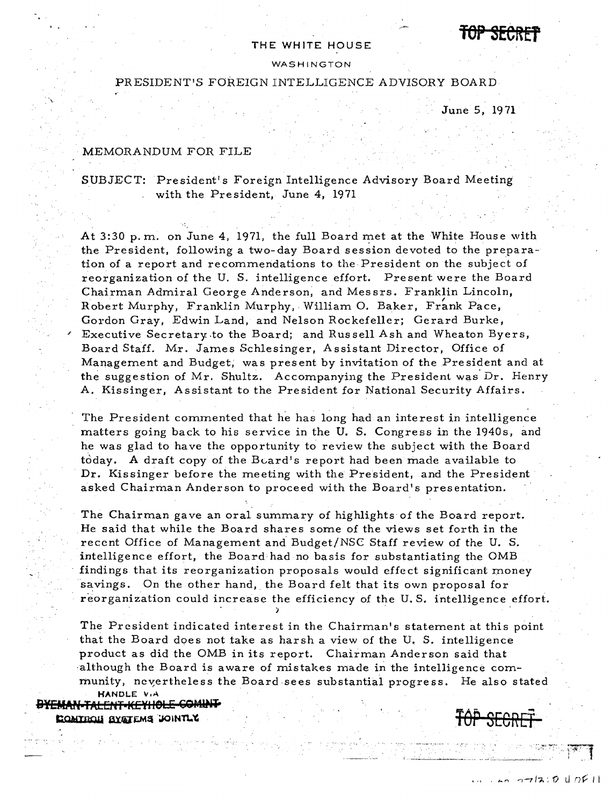## THE WHITE HOUSE

#### WASHINGTON

### PRESIDENT'S FOREIGN INTELLIGENCE ADVISORY BOARD

June 5, 1971

**16P SEeftEf** 

### . MEMORANDUM FOR FILE

..

 $\mathcal{L}$ 

# SUBJECT: President's Foreign Intelligence Advisory Board Meeting with the President, June 4, 1971

At 3:30 p.m. on June 4, 1971, the full Board met at the White House with the President, following a two- day Board session devoted to the preparation of a report and recommendations to the· President on the subject of reorganization of the U. S. intelligence effort. Present were the Board Chairman Admiral George Anderson, and Messrs. Franklin Lincoln, Robert Murphy, Franklin Murphy, William O. Baker, Frank Pace, Gordon Gray, Edwin Land, and Nelson Rockefeller; Gerard Burke, Executive Secretary to the Board; and Russell Ash and Wheaton Byers, Board Staff. Mr. James Schlesinger, Assistant Director, Office of Management and Budget; was present by invitation of the President and at the suggestion of Mr. Shultz. Accompanying the President was Dr. Henry A. Kissinger, Assistant to the President for National Security Affairs.

The President commented that he has long had an interest in intelligence matters going back to his service in the U.S. Congress in the 1940s, and he was glad to have the opportunity to review the subject with the Board today. A draft copy of the Board's report had been made available to Dr. Kissinger before the meeting with the President, and the President asked Chairman Anderson to proceed with the Board's presentation.

The Chairman gave an oral summary of highlights of the Board report. He said that while the Board shares some of the views set forth in the recent Office of Management and Budget/NSC Staff review of the U.S.<br>intelligence effort, the Board had no basis for substantiating the OMB<br>findings that its reorganization proposals would effect significant mone<br>savings. O intelligence effort, the Board had no basis for substantiating the OMB findings that its reorganization proposals would effect significant money savings. On the other hand, the Board felt that its own proposal for reorganization could increase the efficiency of the U.S. intelligence effort.

The President indicated interest in the Chairman's statement at this point that the Board does not take as harsh a view of the U. S. intelligence product as did the OMB in its report. Chairman Anderson said that ·although the Board is aware of mistakes made in the intelligence community, nevertheless the Board sees substantial progress. He also stated HANDLE VIA

EMAN<del>I-TALENT-KEYHOLE-COMUNI</del> **t:QMTPQII** ax.ua;.M~aoINn.." **iOP SECRET**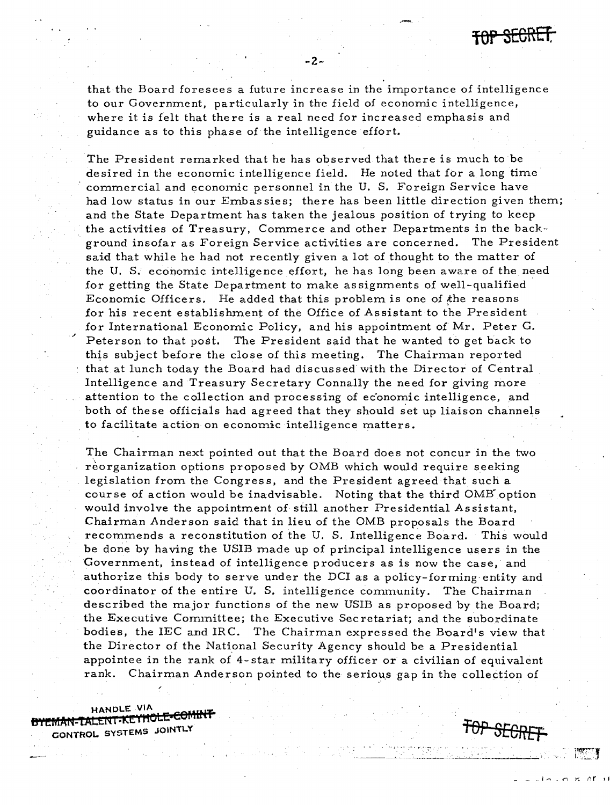

that the Board foresees a future increase in the importance of intelligence to our Government, particularly in the field of economic intelligence, where it is felt that there is a real need for increased emphasis and guidance as to this phase of the intelligence effort.

-2-

The President remarked that he has observed that there is much to be desired in the economic intelligence field. He noted that for a long time commercial and economic personnel in the U. S. Foreign Service have had low status in our Embassies; there has been little direction given them; and the State Department has taken the jealous position of trying to keep the activities of Treasury, Commerce and other Departments in the background insofar as Foreign Service activities are concerned. The President said that while he had not recently given a lot of thought to the matter of the U. S. economic intelligence effort, he has long been aware of the need for getting the State Department to make assignments of well-qualified Economic Officers. He added that this problem is one of the reasons for his recent establishment of the Office of Assistant to the President for International Economic Policy, and his appointment of Mr. Peter G. Peterson to that post. The President said that he wanted to get back to this subject before the close of this meeting. The Chairman reported that at lunch today the Board had discussed' with the Director of Central Intelligence and Treasury Secretary Connally the need for giving more attention to the collection and processing of ec'onornic intelligence, and both of these officials had agreed that they should set up liaison channels to facilitate action on economic intelligence matters.

The Chairman next pointed out that the Board does not concur in the two reorganization options proposed by OMB which would require seeking legislation from the Congress, and the President agreed that such a course of action would be inadvisable. Noting that the third OMB· option would involve the appointment of still another Presidential Assistant, Chairman Anderson said that in lieu of the OMB proposals the Board recommends a reconstitution of the U.S. Intelligence Board. This would be done by having the USIB made up of principal intelligence users in the Government, instead of intelligence producers as is now the case, and authorize this body to serve under the DCI as a policy-forming' entity and coordinator of the entire U. S. intelligence community. The Chairman described the major functions of the new USIB as proposed by the Board; the Executive Committee; the Executive Secretariat; and the subordinate bodies, the IEC and IRC. The Chairman expressed the Board's view that the Director of the National Security Agency should be a Presidential appointee in the rank of 4-star military officer or a civilian of equivalent rank. Chairman Anderson pointed to the serious gap in the collection of

. HANDLE VIA <sup>~</sup> e\'e:MAr~-'mLE:A **'.I(I!'fttOLE\*eeMitW**  CONTROL SYSTEMS JOINTLY

.-



 $1.92 \pm 0.3$  ,

 $i \wedge j \wedge k$  of  $i$ 

• 1'.' :',' ~ "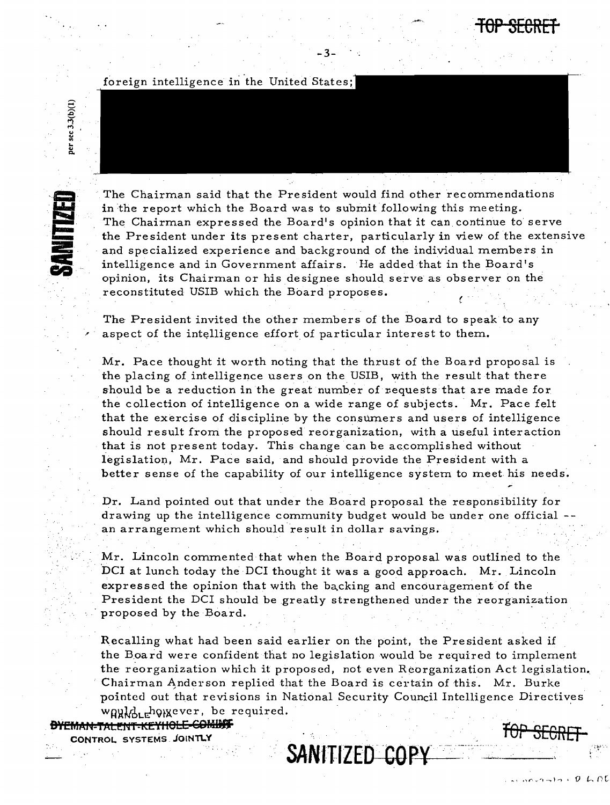

## foreign intelligence in the United States;

-3-

 $\begin{bmatrix} \mathbf{1} & \mathbf{1} & \mathbf{1} & \mathbf{1} \\ \mathbf{1} & \mathbf{1} & \mathbf{1} & \mathbf{1} \\ \mathbf{1} & \mathbf{1} & \mathbf{1} & \mathbf{1} \\ \mathbf{1} & \mathbf{1} & \mathbf{1} & \mathbf{1} \end{bmatrix}$ . The Chairrnan said that the President would find other recommendations in the report which the Board was to submit following this meeting. The Chairman expressed the Board's opinion that it can continue to serve the President under its present charter, particularly in view of the extensive and specialized experience and background of the individual members in intelligence and in Government affairs. He added that in the Board's opinion, its Chairrnan or his designee should serve as observer on the reconstituted USIB which the Board proposes.

The President invited the other members of the Board to speak to any aspect of the intelligence effort of particular interest to them.

Mr. Pace thought it worth noting that the thrust of the Board proposal is the placing of intelligence users on the USIB, with the result that there should be a reduction in the great number of requests that are made for the collection of intelligence on a wide range of subjects. Mr. Pace felt that the exercise of discipline by the consumers and users of intelligence should result from the proposed reorganization, with a useful interaction that is not present today. This change can be accomplished without legislation, Mr. Pace said, and should provide the President with a better sense of the capability of our intelligence system to meet his needs.

Dr. Land pointed out that under the Board proposal the responsibility for drawing up the intelligence community budget would be under one official an arrangement which should result in dollar savings.

Mr. Lincoln commented that when the Board proposal was outlined to the DCI at lunch today the DCI thought it was a good approach. Mr. Lincoln expressed the opinion that with the backing and encouragement of the President the DCI should be greatly strengthened under the reorganization proposed by the Board.

Recalling what had been said earlier on the point, the President asked if the Board were confident that no legislation would be required to implement the reorganization which it proposed, not even Reorganization Act legislation. Chairman Anderson replied that the Board is certain of this. Mr. Burke pointed out that revisions in National Security Council Intelligence Directives wquld the vere is be required.

**'EMAN-TALENT-KEYHOLE-GOMWIF** 

 $\blacksquare$ 

per sec 3.3(b)(1)

ii: <u>in d</u>

CONTROL SYSTEMS, JOINTLY **SANITIZED COP**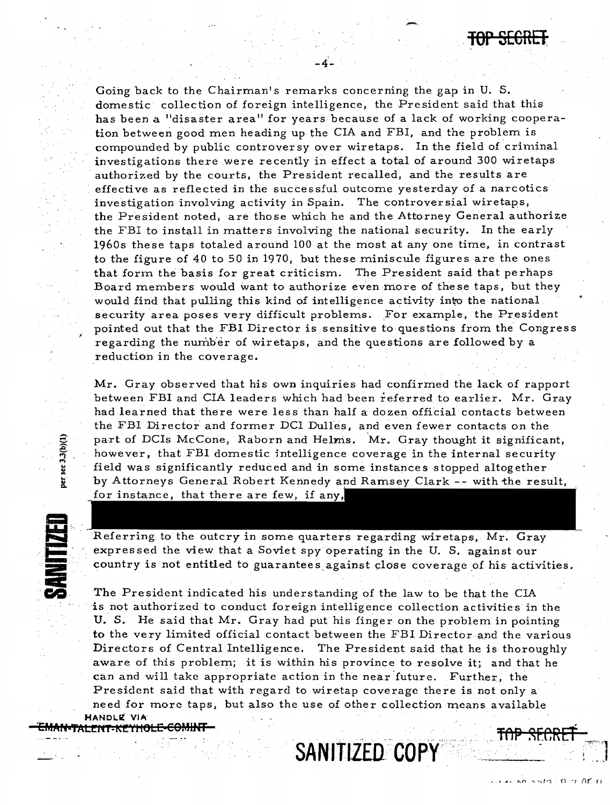$\frac{1}{2}$ . TOP.  $\frac{1}{2}$  or  $\frac{1}{2}$  or  $\frac{1}{2}$ . The set of  $\mathbb{R}^n$  ,  $\mathbb{R}^n$ . . ... ., ~ ... , ..

 $\sim$  50  $\sim$  72  $\approx$  0  $\approx$  00  $\pm$ 

Going back to the Chairman's remarks concerning the gap in U. S. domestic collection of foreign intelligence, the President said that this has been a "disaster area" for years because of a lack of working cooperation between good men heading up the CIA and FBI, and the problem is compounded by public controversy over wiretaps. In the field o{criminal investigations there were recently in effect a total of around 300 wiretaps authorized by the courts, the President recalled, and the results are effective as reflected in the successful outcome yesterday of a narcotics investigation involving activity in Spain. The controversial wiretaps, the President noted, are those which he and the Attorney General authorize the FBI to install in matters involving the national security. In the early 1960s these taps totaled around 100 at the most at anyone time, in contrast to the figure of 40 to 50 in 1970, but these miniscule figures are the ones that form the basis for great criticism. The President said that perhaps Board members would want to authorize even more of these taps, but they would find that pulling this kind of intelligence activity into the national security area poses very difficult problems. For example, the President pointed out that the FBI Director is sensitive to questions from the Congress regarding the number of wiretaps, and the questions are followed by a reduction in the coverage.

-4-

Mr. Gray observed that his own inquiries had confirmed the lack of rapport between FBI and CIA leaders which had been referred to earlier. Mr. Gray had learned that there were less than half a dozen official contacts between the FBI Director and former DCI Dulles, and even fewer contacts on the part of DCIs McCone, Raborn and Helms. Mr. Gray thought it significant, however, that FBI domestic intelligence coverage in the internal security field was significantly reduced and in some instances stopped altogether by Attorneys General Robert Kennedy and Ramsey Clark -- with the result, for instance, that there are few, if any,



per sec 3.3(b)(1)

,.

Referring to the outcry in some quarters regarding wiretaps, Mr. Gray expressed the view that a Soviet spy operating in the U. S. against our country is not entitled to guarantees against close coverage of his activities.

The President indicated his understanding of the law to be that the CIA is not authorized to conduct foreign intelligence collection activities in the U. S. He said that Mr. Gray had put his finger on the problem in pointing to the very limited official contact between the FBI Director and the various Directors of Central Intelligence. The President said that he is thoroughly aware of this problem; it is within his province to resolve it; and that he can and will take appropriate action in the near future. Further, the President said that with regard to wiretap coverage there is not only a need for more taps, but also the use of other collection means available HANDLE VIA

SANITIZED COPY

**'tENT-KEYHOLE**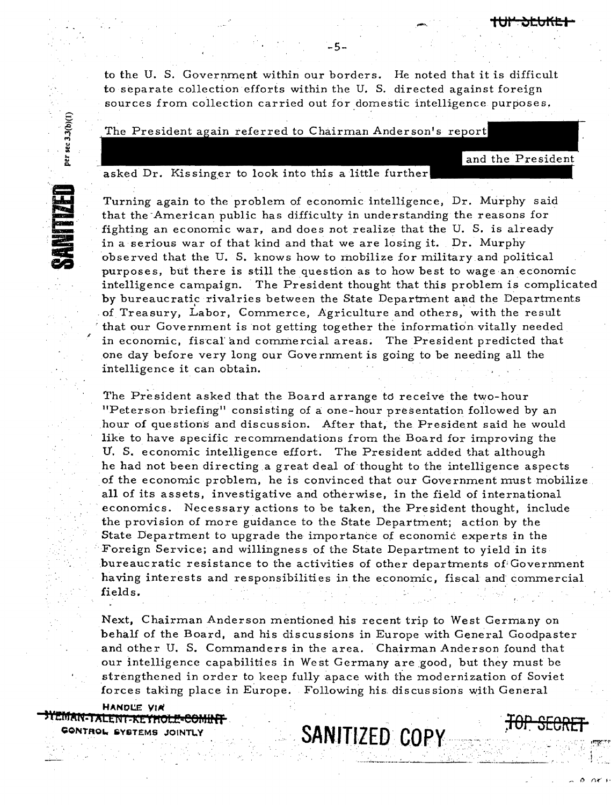to the U. S. Government within our borders. He noted that it is difficult to separate collection efforts within the U. S. directed against foreign sources from collection carried out for domestic intelligence purposes.

-5-

The President again referred to Chairman Anderson's report

and the President

 $t$  to  $\mathcal{R}$  ,  $\mathcal{L}$ 

 $\sim$  0 ( $\Delta$   $\ell$ ) $\ell$ 

asked Dr. Kissinger to look into this a little further

Turning again to the problem of economic intelligence, Dr. Murphy said that the-American public has difficulty in understanding the reasons for . fighting an economic war, and does not realize that the U. S. is already in a serious war of that kind and that we are losing it. Dr. Murphy observed that the U. S. knows how to mobilize for military and political purposes, but there is still the question as to how best to wage an economic intelligence campaign. The President thought that this problem is complicated by bureaucratic rivalries between the State Department and the Departments of Treasury, Labor, Commerce, Agriculture and others, with the result . that our Government is not getting together the information vitally needed in economic, fiscal and commercial areas. The President predicted that one day before very long our Gove rnment is going to be needing all the intelligence it can obtain.

The President asked that the Board arrange to receive the two-hour "Peterson briefing" consisting of a one-hour presentation followed by an hour of questions and discussion. After that, the President said he would like to have specific recommendations from the Board for improving the U. S. economic intelligence effort. The President added that although he had not been directing a great deal of thought to the intelligence aspects of the economic problem, he is convinced that our Government must mobilize. all of its assets, investigative and otherwise, in the field of international economics. Necessary actions to be taken, the President thought, include the provision of more guidance to the State Department; action by the State Department to upgrade the importance of economic experts in the Foreign Service; and willingnes s of the State Department to yield in its bureaucratic resistance to the activities of other departments of; Government having interests and responsibilities in the economic, fiscal and commercial fields.

Next, Chairman Anderson mentioned his recent trip to West Germany on behalf of the Board, and his discussions in Europe with General Goodpaster and other U. S. Commanders in the area. Chairman Anderson found that our intelligence capabilities in West Germany are good, but they must be strengthened in order to keep fully apace with the modernization of Soviet forces taking place in Europe. Following his discussions with General

.  $\sim$   $\sim$ 

-"''''''':-~''-''~--.'.~'-'- ·l ....

**GONTROL SYSTEMS JOINTLY JOURNAL SANITIZED COPY** 

**HANDLE VIR** 

sec 3.3(b)(I)

per

**'"'!MArt. i AtEN i ·KE'1'rtOJ::!aCe'lfHff** .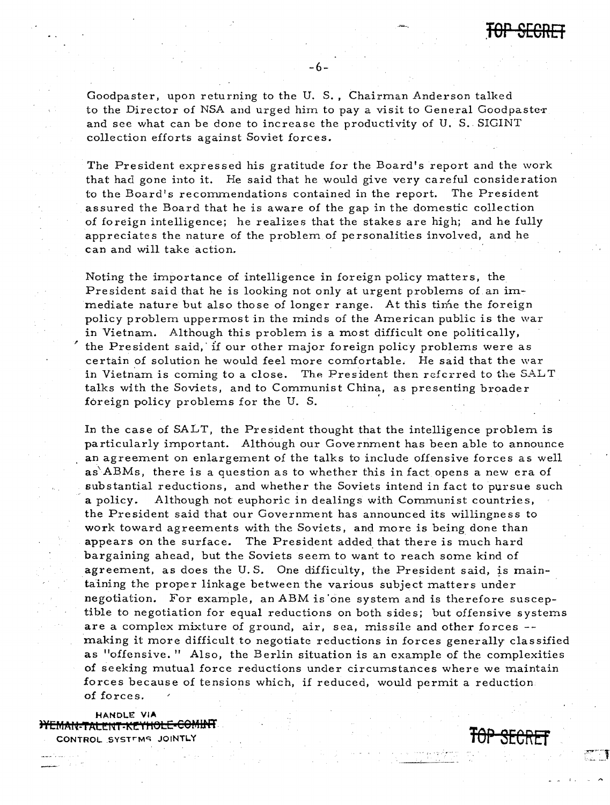Goodpaster, upon returning to the U.S., Chairman Anderson talked to the Director of NSA and urged him to pay a visit to General Goodpaster and see what can be done to increase the productivity of U. *S ..* SIGINT collection efforts against Soviet forces.

-6-

The President expressed his gratitude for the Board's report and the work that had gone into it. He said that he would give very careful consideration to the Board's recommendations contained in the report. The President assured the Board that he is aware of the gap in the domestic collection of foreign intelligence; he realizes that the stakes are high; and he fully appreciates the nature of the problem of personalities involved, and he can and will take action.

Noting the importance of intelligence in foreign policy matters, the President said that he is looking not only at urgent problems of an immediate nature but also those of longer range. At this time the foreign policy problem uppermost in the minds of the American public is the war in Vietnam. Although this problem is a most difficult one politically, the President said, if our other major foreign policy problems were as certain of solution he would feel more comfortable. He said that the \var in Vietnam is coming to a close. The President then referred to the SALT talks with the Soviets, and to Communist China, as presenting broader foreign policy problems for the U. S. .

In the case of SALT, the President thought that the intelligence problem is particularly important. Although our Government has been able to announce an agreement on enlargement of the talks to include offensive forces as well as'ABMs, there is a question as to whether this in fact opens a new era of substantial reductions, and whether the Soviets intend in fact to pursue such a policy. Although not euphoric in dealings with Communist countries, the President said that our Government has announced its willingness to work toward agreements with the Soviets, and more is being done than appears on the surface. The President added that there is much hard bargaining ahead, but the Soviets seem to want to reach some kind of agreement, as does the U.S. One difficulty, the President said, is maintaining the proper linkage between the various subject matters under negotiation. For example. an ABM is 'one system and is therefore susceptible to negotiation for equal reductions on both sides; but offensive systems are a complex mixture of ground, air, sea, missile and other forces - making it more difficult to negotiate reductions in forces generally classified as "offensive." Also, the Berlin situation is an example of the complexities of seeking mutual force reductions under circumstances where we maintain forces because of tensions which, if reduced, would permit a reduction of forces·.

HANDLE **VIA HEMAN-TALENT-KEYHOLE-COMINT**<br>CONTROL SYSTEMS JOINTLY



- - I.

 $, \overline{C}^{\bullet} \rightarrow \overline{\mathbf{1}}$ السنة سندانة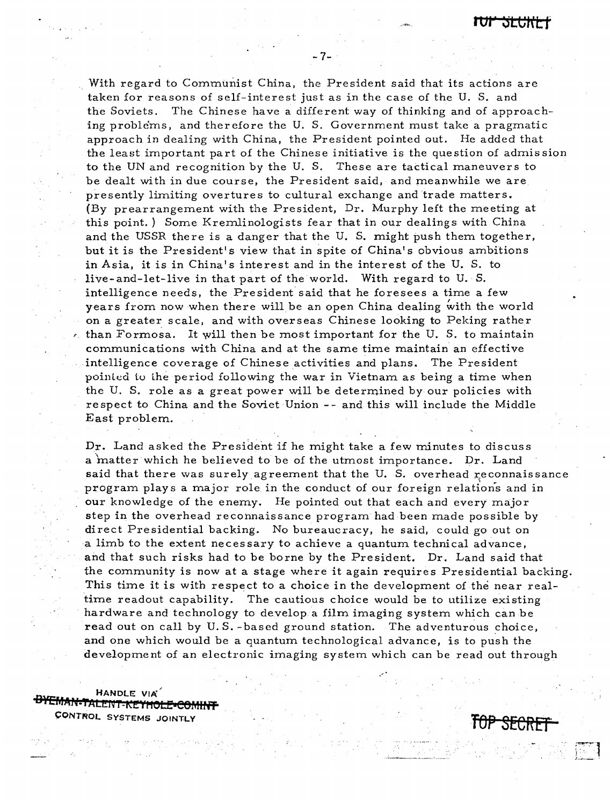With regard to Communist China, the President said that its actions are taken for reasons of self-interest just as in the case of the U. S. and the Soviets. The Chinese have a different way of thinking and of approaching problems, and therefore the U. S. Government must take a pragmatic approach in dealing with China, the President pointed out. He added that the least important part of the Chinese initiative is the question of admission to the UN and recognition by the U. S. These are tactical maneuvers to be dealt with in due course, the President said, and meanwhile we are presently limiting overtures to cultural exchange and trade matters. (By prearrangement with the President, Dr. Murphy left the meeting at this point.) Some Kremlinologists fear that in our dealings with China and the USSR there is a danger that the U. S. might push them together, but it is the President's view that in spite of China's obvious ambitions in Asia, it is in China's interest and in the interest of the U. S. to live-and-let-live in that part of the world. With regard to U.S. intelligence needs, the President said that he foresees a time a few years from now when there will be an open China dealing with the world on a greater scale, and with overseas Chinese looking to Peking rather than Formosa. It will then be most important for the U.S. to maintain communications with China and at the same time maintain an effective intelligence coverage of Chinese activities and plans. The President pointed to the period following the war in Vietnam as being a time when the U. S. role as a great power will be determined by our policies with re speet to China and the Soviet Union - - and this will include the Middle East problem.

-7-

Dr. Land asked the President if he might take a few minutes to discuss a matter which he believed to be of the utmost importance. Dr. Land said that there was surely agreement that the U.S. overhead reconnaissance program plays a major role in the conduct of our foreign relations and in our knowledge of the enemy. He pointed out that each and every major step in the overhead reconnaissance program had been made possible by direct Presidential backing. No bureaucracy, he said, could go out on a limb to the extent necessary to achieve a quantum technical advance, and that such risks had to be borne by the President. Dr. Land said that the community is now at a stage where it again requires Presidential backing. This time it is with respect to a choice in the development of the near realtime readout capability. The cautious choice would be to utilize existing hardware and technology to develop a film imaging system which canbe read out on call by U.S. - based ground station. The adventurous choice, and one which would be a quantum technological advance, is to push the development of an electronic imaging system which can be read out through

HANDLE VIA" MAN-TALENT-<del>KEYHOLE-COMIN</del> CONT~OL SYSTEMS JOINTLY **fOP SECRff'**